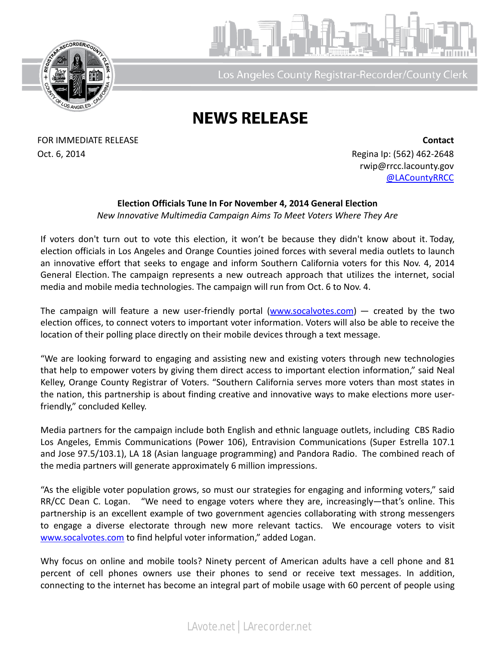

Los Angeles County Registrar-Recorder/County Clerk

## **NEWS RELEASE**

FOR IMMEDIATE RELEASE **Contact** Oct. 6, 2014 **Regina Ip: (562)** 462-2648

rwip@rrcc.lacounty.gov [@LACountyRRCC](https://twitter.com/lacountyrrcc)

## **Election Officials Tune In For November 4, 2014 General Election** *New Innovative Multimedia Campaign Aims To Meet Voters Where They Are*

If voters don't turn out to vote this election, it won't be because they didn't know about it. Today, election officials in Los Angeles and Orange Counties joined forces with several media outlets to launch an innovative effort that seeks to engage and inform Southern California voters for this Nov. 4, 2014 General Election. The campaign represents a new outreach approach that utilizes the internet, social media and mobile media technologies. The campaign will run from Oct. 6 to Nov. 4.

The campaign will feature a new user-friendly portal [\(www.socalvotes.com\)](http://www.socalvotes.com/)  $-$  created by the two election offices, to connect voters to important voter information. Voters will also be able to receive the location of their polling place directly on their mobile devices through a text message.

"We are looking forward to engaging and assisting new and existing voters through new technologies that help to empower voters by giving them direct access to important election information," said Neal Kelley, Orange County Registrar of Voters. "Southern California serves more voters than most states in the nation, this partnership is about finding creative and innovative ways to make elections more userfriendly," concluded Kelley.

Media partners for the campaign include both English and ethnic language outlets, including CBS Radio Los Angeles, Emmis Communications (Power 106), Entravision Communications (Super Estrella 107.1 and Jose 97.5/103.1), LA 18 (Asian language programming) and Pandora Radio. The combined reach of the media partners will generate approximately 6 million impressions.

"As the eligible voter population grows, so must our strategies for engaging and informing voters," said RR/CC Dean C. Logan. "We need to engage voters where they are, increasingly—that's online. This partnership is an excellent example of two government agencies collaborating with strong messengers to engage a diverse electorate through new more relevant tactics. We encourage voters to visit [www.socalvotes.com](http://www.socalvotes.com/) to find helpful voter information," added Logan.

Why focus on online and mobile tools? Ninety percent of American adults have a cell phone and 81 percent of cell phones owners use their phones to send or receive text messages. In addition, connecting to the internet has become an integral part of mobile usage with 60 percent of people using